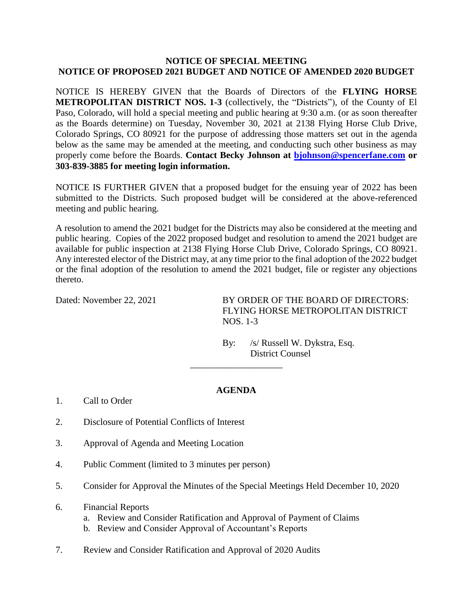## **NOTICE OF SPECIAL MEETING NOTICE OF PROPOSED 2021 BUDGET AND NOTICE OF AMENDED 2020 BUDGET**

NOTICE IS HEREBY GIVEN that the Boards of Directors of the **FLYING HORSE METROPOLITAN DISTRICT NOS. 1-3** (collectively, the "Districts"), of the County of El Paso, Colorado, will hold a special meeting and public hearing at 9:30 a.m. (or as soon thereafter as the Boards determine) on Tuesday, November 30, 2021 at 2138 Flying Horse Club Drive, Colorado Springs, CO 80921 for the purpose of addressing those matters set out in the agenda below as the same may be amended at the meeting, and conducting such other business as may properly come before the Boards. **Contact Becky Johnson at [bjohnson@spencerfane.com](mailto:bjohnson@spencerfane.com) or 303-839-3885 for meeting login information.**

NOTICE IS FURTHER GIVEN that a proposed budget for the ensuing year of 2022 has been submitted to the Districts. Such proposed budget will be considered at the above-referenced meeting and public hearing.

A resolution to amend the 2021 budget for the Districts may also be considered at the meeting and public hearing. Copies of the 2022 proposed budget and resolution to amend the 2021 budget are available for public inspection at 2138 Flying Horse Club Drive, Colorado Springs, CO 80921. Any interested elector of the District may, at any time prior to the final adoption of the 2022 budget or the final adoption of the resolution to amend the 2021 budget, file or register any objections thereto.

Dated: November 22, 2021 BY ORDER OF THE BOARD OF DIRECTORS: FLYING HORSE METROPOLITAN DISTRICT NOS. 1-3

> By: /s/ Russell W. Dykstra, Esq. District Counsel

## **AGENDA**

\_\_\_\_\_\_\_\_\_\_\_\_\_\_\_\_\_\_\_\_

- 1. Call to Order
- 2. Disclosure of Potential Conflicts of Interest
- 3. Approval of Agenda and Meeting Location
- 4. Public Comment (limited to 3 minutes per person)
- 5. Consider for Approval the Minutes of the Special Meetings Held December 10, 2020
- 6. Financial Reports
	- a. Review and Consider Ratification and Approval of Payment of Claims
	- b. Review and Consider Approval of Accountant's Reports
- 7. Review and Consider Ratification and Approval of 2020 Audits